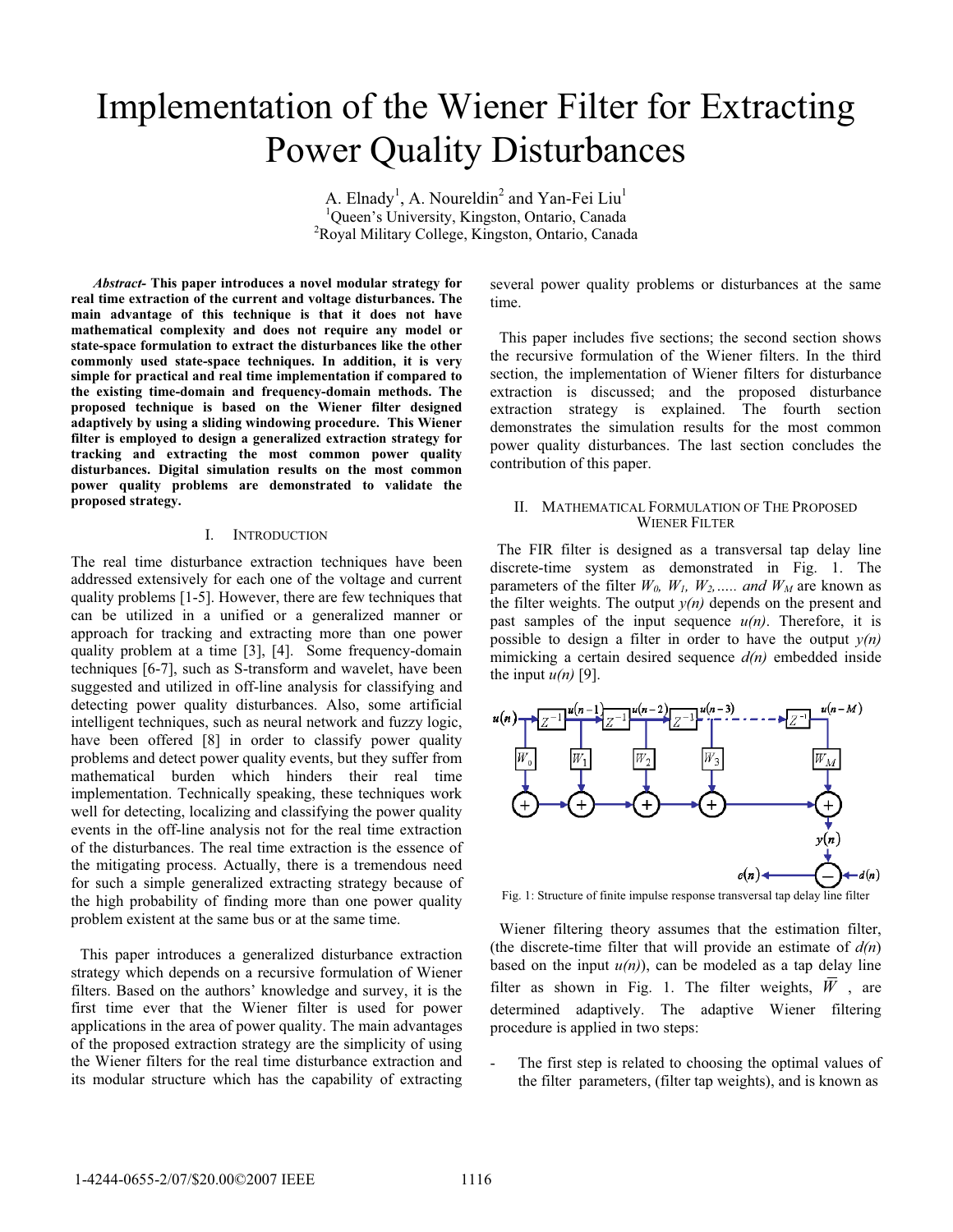# Implementation of the Wiener Filter for Extracting Power Quality Disturbances

A. Elnady<sup>1</sup>, A. Noureldin<sup>2</sup> and Yan-Fei Liu<sup>1</sup> <sup>1</sup>Queen's University, Kingston, Ontario, Canada<br><sup>2</sup>Povel Military College, Kingston, Ontario, Canad <sup>2</sup>Royal Military College, Kingston, Ontario, Canada

*Abstract-* **This paper introduces a novel modular strategy for real time extraction of the current and voltage disturbances. The main advantage of this technique is that it does not have mathematical complexity and does not require any model or state-space formulation to extract the disturbances like the other commonly used state-space techniques. In addition, it is very simple for practical and real time implementation if compared to the existing time-domain and frequency-domain methods. The proposed technique is based on the Wiener filter designed adaptively by using a sliding windowing procedure. This Wiener filter is employed to design a generalized extraction strategy for tracking and extracting the most common power quality disturbances. Digital simulation results on the most common power quality problems are demonstrated to validate the proposed strategy.**

#### I. INTRODUCTION

The real time disturbance extraction techniques have been addressed extensively for each one of the voltage and current quality problems [1-5]. However, there are few techniques that can be utilized in a unified or a generalized manner or approach for tracking and extracting more than one power quality problem at a time [3], [4]. Some frequency-domain techniques [6-7], such as S-transform and wavelet, have been suggested and utilized in off-line analysis for classifying and detecting power quality disturbances. Also, some artificial intelligent techniques, such as neural network and fuzzy logic, have been offered [8] in order to classify power quality problems and detect power quality events, but they suffer from mathematical burden which hinders their real time implementation. Technically speaking, these techniques work well for detecting, localizing and classifying the power quality events in the off-line analysis not for the real time extraction of the disturbances. The real time extraction is the essence of the mitigating process. Actually, there is a tremendous need for such a simple generalized extracting strategy because of the high probability of finding more than one power quality problem existent at the same bus or at the same time.

This paper introduces a generalized disturbance extraction strategy which depends on a recursive formulation of Wiener filters. Based on the authors' knowledge and survey, it is the first time ever that the Wiener filter is used for power applications in the area of power quality. The main advantages of the proposed extraction strategy are the simplicity of using the Wiener filters for the real time disturbance extraction and its modular structure which has the capability of extracting

several power quality problems or disturbances at the same time.

This paper includes five sections; the second section shows the recursive formulation of the Wiener filters. In the third section, the implementation of Wiener filters for disturbance extraction is discussed; and the proposed disturbance extraction strategy is explained. The fourth section demonstrates the simulation results for the most common power quality disturbances. The last section concludes the contribution of this paper.

#### II. MATHEMATICAL FORMULATION OF THE PROPOSED WIENER FILTER

The FIR filter is designed as a transversal tap delay line discrete-time system as demonstrated in Fig. 1. The parameters of the filter  $W_0$ ,  $W_1$ ,  $W_2$ , ... and  $W_M$  are known as the filter weights. The output  $y(n)$  depends on the present and past samples of the input sequence  $u(n)$ . Therefore, it is possible to design a filter in order to have the output  $y(n)$ mimicking a certain desired sequence *d(n)* embedded inside the input  $u(n)$  [9].



Fig. 1: Structure of finite impulse response transversal tap delay line filter

Wiener filtering theory assumes that the estimation filter, (the discrete-time filter that will provide an estimate of *d(n*) based on the input  $u(n)$ , can be modeled as a tap delay line filter as shown in Fig. 1. The filter weights,  $\overline{W}$ , are determined adaptively. The adaptive Wiener filtering procedure is applied in two steps:

The first step is related to choosing the optimal values of the filter parameters, (filter tap weights), and is known as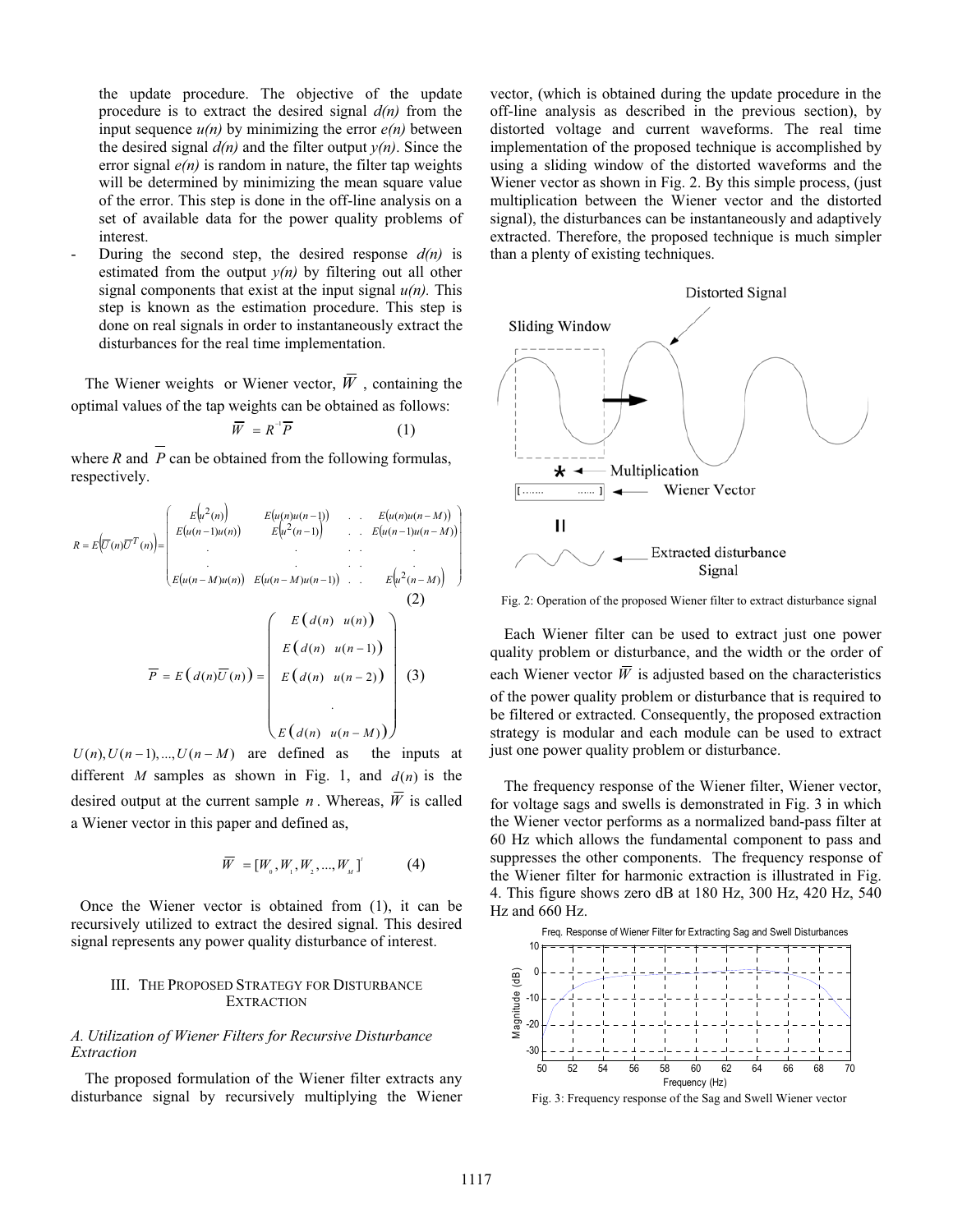the update procedure. The objective of the update procedure is to extract the desired signal *d(n)* from the input sequence  $u(n)$  by minimizing the error  $e(n)$  between the desired signal  $d(n)$  and the filter output  $y(n)$ . Since the error signal *e(n)* is random in nature, the filter tap weights will be determined by minimizing the mean square value of the error. This step is done in the off-line analysis on a set of available data for the power quality problems of interest.

During the second step, the desired response  $d(n)$  is estimated from the output  $y(n)$  by filtering out all other signal components that exist at the input signal  $u(n)$ . This step is known as the estimation procedure. This step is done on real signals in order to instantaneously extract the disturbances for the real time implementation.

The Wiener weights or Wiener vector,  $\overline{W}$ , containing the optimal values of the tap weights can be obtained as follows: 1

$$
\overline{W} = R^{-1}\overline{P} \tag{1}
$$

where *R* and *P* can be obtained from the following formulas, respectively.

$$
R = E\left(\overline{U}(n)\overline{U}^T(n)\right) = \begin{pmatrix} E(u^2(n)) & E(u(n)u(n-1)) & \dots & E(u(n)u(n-M)) \\ E(u(n-1)u(n)) & E(u^2(n-1)) & \dots & E(u(n-1)u(n-M)) \\ \vdots & \vdots & \vdots & \vdots \\ E(u(n-M)u(n)) & E(u(n-M)u(n-1)) & \dots & E(u^2(n-M)) \end{pmatrix}
$$
\n
$$
\overline{P} = E\left(d(n)\overline{U}(n)\right) = \begin{pmatrix} E\left(d(n) & u(n)\right) \\ E\left(d(n) & u(n-1)\right) \\ E\left(d(n) & u(n-2)\right) \\ \vdots \\ E\left(d(n) & u(n-M)\right) \end{pmatrix}
$$
\n(3)

 $U(n)$ ,  $U(n-1)$ , ...,  $U(n-M)$  are defined as the inputs at different *M* samples as shown in Fig. 1, and  $d(n)$  is the desired output at the current sample *n*. Whereas,  $\overline{W}$  is called a Wiener vector in this paper and defined as,

$$
\overline{W} = [W_0, W_1, W_2, ..., W_M]'
$$
 (4)

Once the Wiener vector is obtained from (1), it can be recursively utilized to extract the desired signal. This desired signal represents any power quality disturbance of interest.

## III. THE PROPOSED STRATEGY FOR DISTURBANCE **EXTRACTION**

## *A. Utilization of Wiener Filters for Recursive Disturbance Extraction*

The proposed formulation of the Wiener filter extracts any disturbance signal by recursively multiplying the Wiener vector, (which is obtained during the update procedure in the off-line analysis as described in the previous section), by distorted voltage and current waveforms. The real time implementation of the proposed technique is accomplished by using a sliding window of the distorted waveforms and the Wiener vector as shown in Fig. 2. By this simple process, (just multiplication between the Wiener vector and the distorted signal), the disturbances can be instantaneously and adaptively extracted. Therefore, the proposed technique is much simpler than a plenty of existing techniques.



Fig. 2: Operation of the proposed Wiener filter to extract disturbance signal

Each Wiener filter can be used to extract just one power quality problem or disturbance, and the width or the order of each Wiener vector  $\overline{W}$  is adjusted based on the characteristics of the power quality problem or disturbance that is required to be filtered or extracted. Consequently, the proposed extraction strategy is modular and each module can be used to extract just one power quality problem or disturbance.

The frequency response of the Wiener filter, Wiener vector, for voltage sags and swells is demonstrated in Fig. 3 in which the Wiener vector performs as a normalized band-pass filter at 60 Hz which allows the fundamental component to pass and suppresses the other components. The frequency response of the Wiener filter for harmonic extraction is illustrated in Fig. 4. This figure shows zero dB at 180 Hz, 300 Hz, 420 Hz, 540 Hz and 660 Hz.



Fig. 3: Frequency response of the Sag and Swell Wiener vector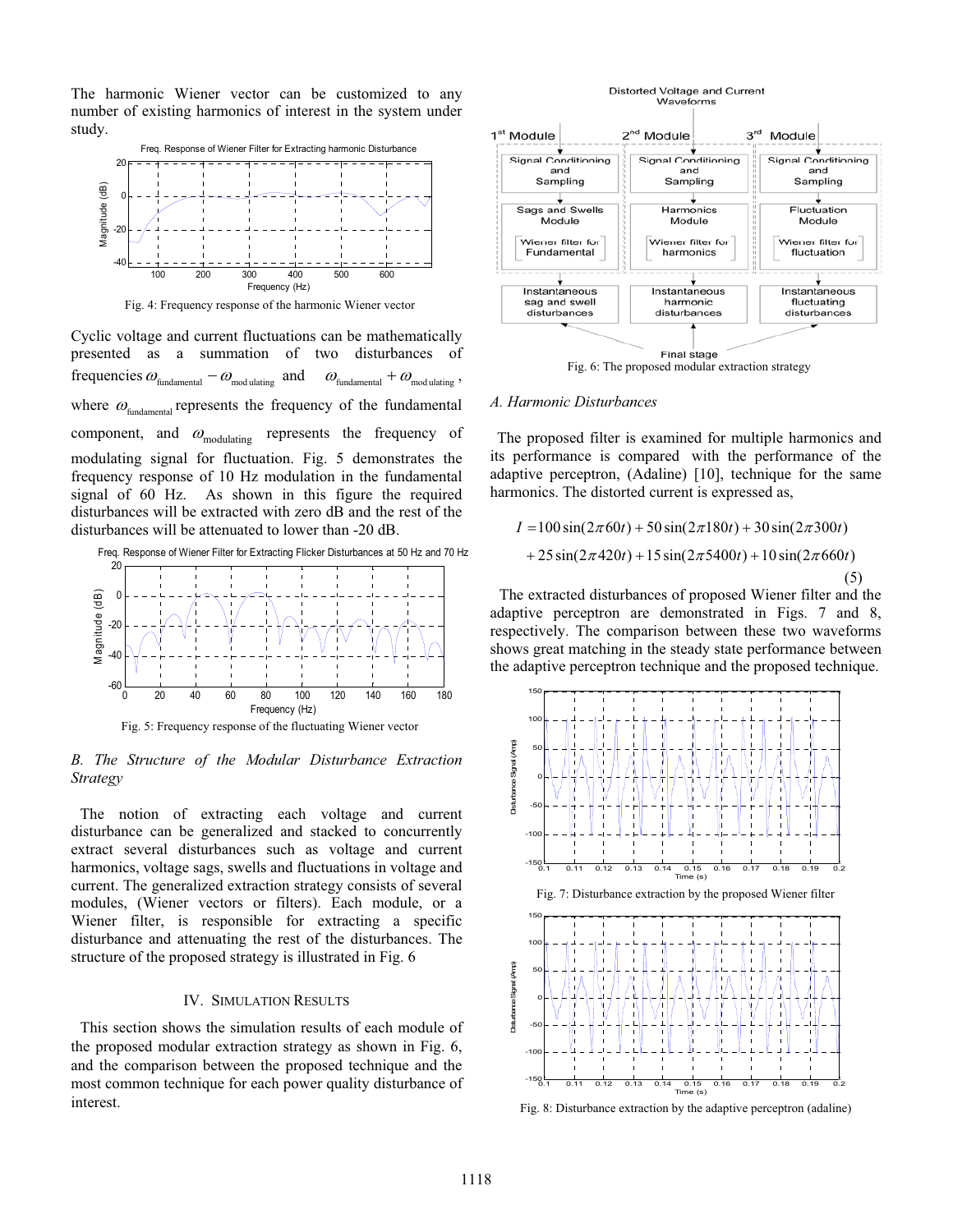The harmonic Wiener vector can be customized to any number of existing harmonics of interest in the system under study.



Cyclic voltage and current fluctuations can be mathematically presented as a summation of two disturbances of frequencies  $\omega_{\text{fundamental}} - \omega_{\text{modulating}}$  and  $\omega_{\text{fundamental}} + \omega_{\text{modulating}}$ , where  $\omega_{\text{fundamental}}$  represents the frequency of the fundamental component, and  $\omega_{\text{modulating}}$  represents the frequency of modulating signal for fluctuation. Fig. 5 demonstrates the frequency response of 10 Hz modulation in the fundamental signal of 60 Hz. As shown in this figure the required disturbances will be extracted with zero dB and the rest of the disturbances will be attenuated to lower than -20 dB.



# *B. The Structure of the Modular Disturbance Extraction Strategy*

The notion of extracting each voltage and current disturbance can be generalized and stacked to concurrently extract several disturbances such as voltage and current harmonics, voltage sags, swells and fluctuations in voltage and current. The generalized extraction strategy consists of several modules, (Wiener vectors or filters). Each module, or a Wiener filter, is responsible for extracting a specific disturbance and attenuating the rest of the disturbances. The structure of the proposed strategy is illustrated in Fig. 6

#### IV. SIMULATION RESULTS

This section shows the simulation results of each module of the proposed modular extraction strategy as shown in Fig. 6, and the comparison between the proposed technique and the most common technique for each power quality disturbance of interest.



#### *A. Harmonic Disturbances*

The proposed filter is examined for multiple harmonics and its performance is compared with the performance of the adaptive perceptron, (Adaline) [10], technique for the same harmonics. The distorted current is expressed as,

$$
I = 100\sin(2\pi 60t) + 50\sin(2\pi 180t) + 30\sin(2\pi 300t)
$$
  
+ 25\sin(2\pi 420t) + 15\sin(2\pi 5400t) + 10\sin(2\pi 660t) (5)

The extracted disturbances of proposed Wiener filter and the adaptive perceptron are demonstrated in Figs. 7 and 8, respectively. The comparison between these two waveforms shows great matching in the steady state performance between the adaptive perceptron technique and the proposed technique.



Fig. 8: Disturbance extraction by the adaptive perceptron (adaline)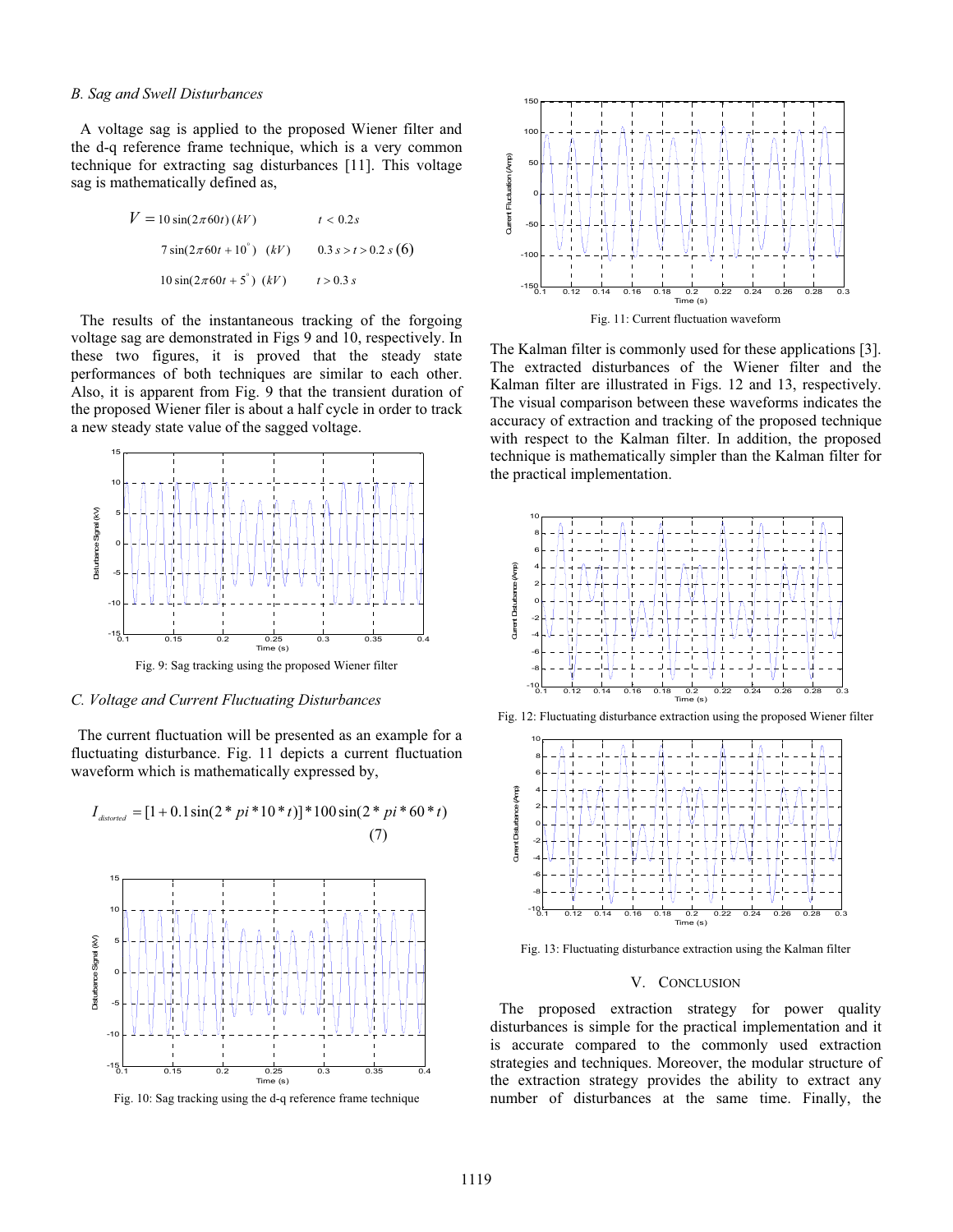#### *B. Sag and Swell Disturbances*

A voltage sag is applied to the proposed Wiener filter and the d-q reference frame technique, which is a very common technique for extracting sag disturbances [11]. This voltage sag is mathematically defined as,

$$
V = 10 \sin(2\pi 60t) (kV)
$$
  
\n
$$
t < 0.2s
$$
  
\n
$$
7 \sin(2\pi 60t + 10^{\circ}) (kV)
$$
  
\n
$$
10 \sin(2\pi 60t + 5^{\circ}) (kV)
$$
  
\n
$$
t > 0.3s
$$
  
\n
$$
t > 0.2s
$$

The results of the instantaneous tracking of the forgoing voltage sag are demonstrated in Figs 9 and 10, respectively. In these two figures, it is proved that the steady state performances of both techniques are similar to each other. Also, it is apparent from Fig. 9 that the transient duration of the proposed Wiener filer is about a half cycle in order to track a new steady state value of the sagged voltage.



*C. Voltage and Current Fluctuating Disturbances* 

The current fluctuation will be presented as an example for a fluctuating disturbance. Fig. 11 depicts a current fluctuation waveform which is mathematically expressed by,

 $I_{disorted} = [1 + 0.1 \sin(2 * pi * 10 * t)] * 100 \sin(2 * pi * 60 * t)$ 



Fig. 10: Sag tracking using the d-q reference frame technique



Fig. 11: Current fluctuation waveform

The Kalman filter is commonly used for these applications [3]. The extracted disturbances of the Wiener filter and the Kalman filter are illustrated in Figs. 12 and 13, respectively. The visual comparison between these waveforms indicates the accuracy of extraction and tracking of the proposed technique with respect to the Kalman filter. In addition, the proposed technique is mathematically simpler than the Kalman filter for the practical implementation.





Fig. 12: Fluctuating disturbance extraction using the proposed Wiener filter

Fig. 13: Fluctuating disturbance extraction using the Kalman filter

#### V. CONCLUSION

The proposed extraction strategy for power quality disturbances is simple for the practical implementation and it is accurate compared to the commonly used extraction strategies and techniques. Moreover, the modular structure of the extraction strategy provides the ability to extract any number of disturbances at the same time. Finally, the